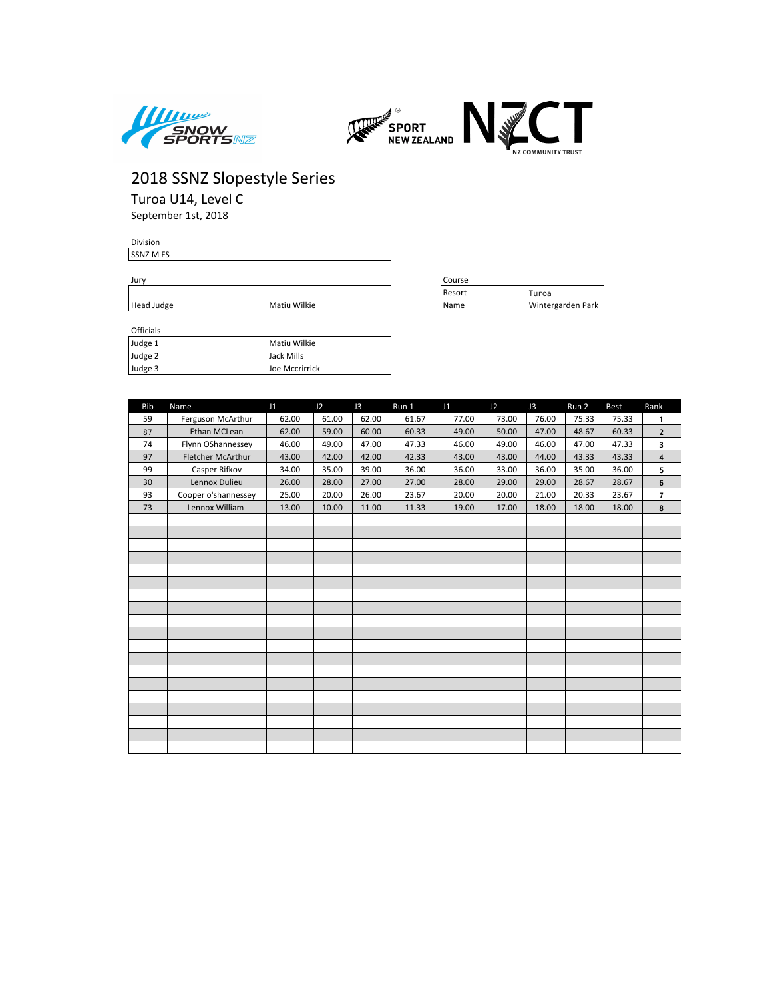



Turoa U14, Level C September 1st, 2018

Division SSNZ M FS

Jury Course

| Head Judge | Wilkie<br>Matiu | 'Name | Park<br>intergarden |
|------------|-----------------|-------|---------------------|
|            |                 |       |                     |

| Officials |                |
|-----------|----------------|
| Judge 1   | Matiu Wilkie   |
| Judge 2   | Jack Mills     |
| Judge 3   | Joe Mccrirrick |

| course |                   |
|--------|-------------------|
| Resort | Turoa             |
| Name   | Wintergarden Park |

| <b>Bib</b> | Name                | J1    | J2    | J3    | Run 1 | J1    | J2    | J3    | Run 2 | Best  | Rank                    |
|------------|---------------------|-------|-------|-------|-------|-------|-------|-------|-------|-------|-------------------------|
| 59         | Ferguson McArthur   | 62.00 | 61.00 | 62.00 | 61.67 | 77.00 | 73.00 | 76.00 | 75.33 | 75.33 | 1                       |
| 87         | Ethan MCLean        | 62.00 | 59.00 | 60.00 | 60.33 | 49.00 | 50.00 | 47.00 | 48.67 | 60.33 | $\overline{2}$          |
| 74         | Flynn OShannessey   | 46.00 | 49.00 | 47.00 | 47.33 | 46.00 | 49.00 | 46.00 | 47.00 | 47.33 | 3                       |
| 97         | Fletcher McArthur   | 43.00 | 42.00 | 42.00 | 42.33 | 43.00 | 43.00 | 44.00 | 43.33 | 43.33 | $\overline{\mathbf{4}}$ |
| 99         | Casper Rifkov       | 34.00 | 35.00 | 39.00 | 36.00 | 36.00 | 33.00 | 36.00 | 35.00 | 36.00 | 5                       |
| 30         | Lennox Dulieu       | 26.00 | 28.00 | 27.00 | 27.00 | 28.00 | 29.00 | 29.00 | 28.67 | 28.67 | 6                       |
| 93         | Cooper o'shannessey | 25.00 | 20.00 | 26.00 | 23.67 | 20.00 | 20.00 | 21.00 | 20.33 | 23.67 | $\overline{7}$          |
| 73         | Lennox William      | 13.00 | 10.00 | 11.00 | 11.33 | 19.00 | 17.00 | 18.00 | 18.00 | 18.00 | 8                       |
|            |                     |       |       |       |       |       |       |       |       |       |                         |
|            |                     |       |       |       |       |       |       |       |       |       |                         |
|            |                     |       |       |       |       |       |       |       |       |       |                         |
|            |                     |       |       |       |       |       |       |       |       |       |                         |
|            |                     |       |       |       |       |       |       |       |       |       |                         |
|            |                     |       |       |       |       |       |       |       |       |       |                         |
|            |                     |       |       |       |       |       |       |       |       |       |                         |
|            |                     |       |       |       |       |       |       |       |       |       |                         |
|            |                     |       |       |       |       |       |       |       |       |       |                         |
|            |                     |       |       |       |       |       |       |       |       |       |                         |
|            |                     |       |       |       |       |       |       |       |       |       |                         |
|            |                     |       |       |       |       |       |       |       |       |       |                         |
|            |                     |       |       |       |       |       |       |       |       |       |                         |
|            |                     |       |       |       |       |       |       |       |       |       |                         |
|            |                     |       |       |       |       |       |       |       |       |       |                         |
|            |                     |       |       |       |       |       |       |       |       |       |                         |
|            |                     |       |       |       |       |       |       |       |       |       |                         |
|            |                     |       |       |       |       |       |       |       |       |       |                         |
|            |                     |       |       |       |       |       |       |       |       |       |                         |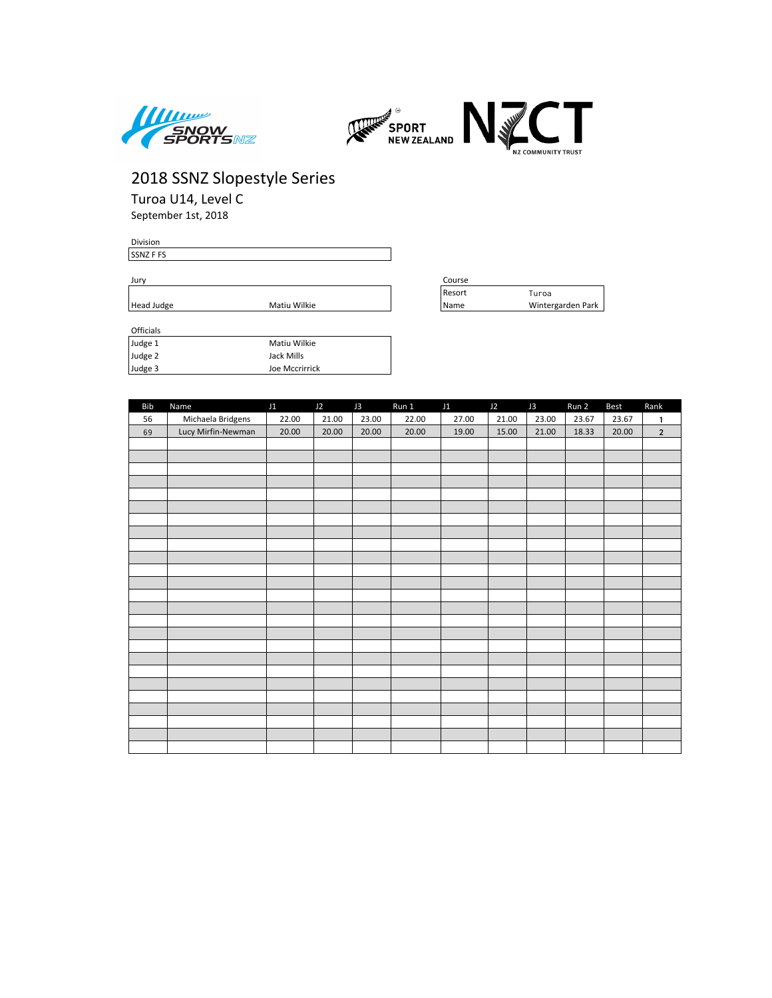



Turoa U14, Level C September 1st, 2018

Division SSNZ F FS

Jury Course

| $11200 \text{ J}0050$ | <b>IVIGUU VVIINU</b> |
|-----------------------|----------------------|
|                       |                      |
|                       |                      |
|                       |                      |
| <b>Officials</b>      |                      |

| Judge 1 | Matiu Wilkie   |
|---------|----------------|
| Judge 2 | Jack Mills     |
| Judge 3 | Joe Mccrirrick |

| Jurv       |              | .ourse |                   |
|------------|--------------|--------|-------------------|
|            |              | Resort | Turoa             |
| Head Judge | Matiu Wilkie | Name   | Wintergarden Park |

| <b>Bib</b> | Name               | J1    | J2    | J3    | Run 1 | J1    | J2    | J3    | Run 2 | Best  | Rank           |
|------------|--------------------|-------|-------|-------|-------|-------|-------|-------|-------|-------|----------------|
| 56         | Michaela Bridgens  | 22.00 | 21.00 | 23.00 | 22.00 | 27.00 | 21.00 | 23.00 | 23.67 | 23.67 | 1              |
| 69         | Lucy Mirfin-Newman | 20.00 | 20.00 | 20.00 | 20.00 | 19.00 | 15.00 | 21.00 | 18.33 | 20.00 | $\overline{2}$ |
|            |                    |       |       |       |       |       |       |       |       |       |                |
|            |                    |       |       |       |       |       |       |       |       |       |                |
|            |                    |       |       |       |       |       |       |       |       |       |                |
|            |                    |       |       |       |       |       |       |       |       |       |                |
|            |                    |       |       |       |       |       |       |       |       |       |                |
|            |                    |       |       |       |       |       |       |       |       |       |                |
|            |                    |       |       |       |       |       |       |       |       |       |                |
|            |                    |       |       |       |       |       |       |       |       |       |                |
|            |                    |       |       |       |       |       |       |       |       |       |                |
|            |                    |       |       |       |       |       |       |       |       |       |                |
|            |                    |       |       |       |       |       |       |       |       |       |                |
|            |                    |       |       |       |       |       |       |       |       |       |                |
|            |                    |       |       |       |       |       |       |       |       |       |                |
|            |                    |       |       |       |       |       |       |       |       |       |                |
|            |                    |       |       |       |       |       |       |       |       |       |                |
|            |                    |       |       |       |       |       |       |       |       |       |                |
|            |                    |       |       |       |       |       |       |       |       |       |                |
|            |                    |       |       |       |       |       |       |       |       |       |                |
|            |                    |       |       |       |       |       |       |       |       |       |                |
|            |                    |       |       |       |       |       |       |       |       |       |                |
|            |                    |       |       |       |       |       |       |       |       |       |                |
|            |                    |       |       |       |       |       |       |       |       |       |                |
|            |                    |       |       |       |       |       |       |       |       |       |                |
|            |                    |       |       |       |       |       |       |       |       |       |                |
|            |                    |       |       |       |       |       |       |       |       |       |                |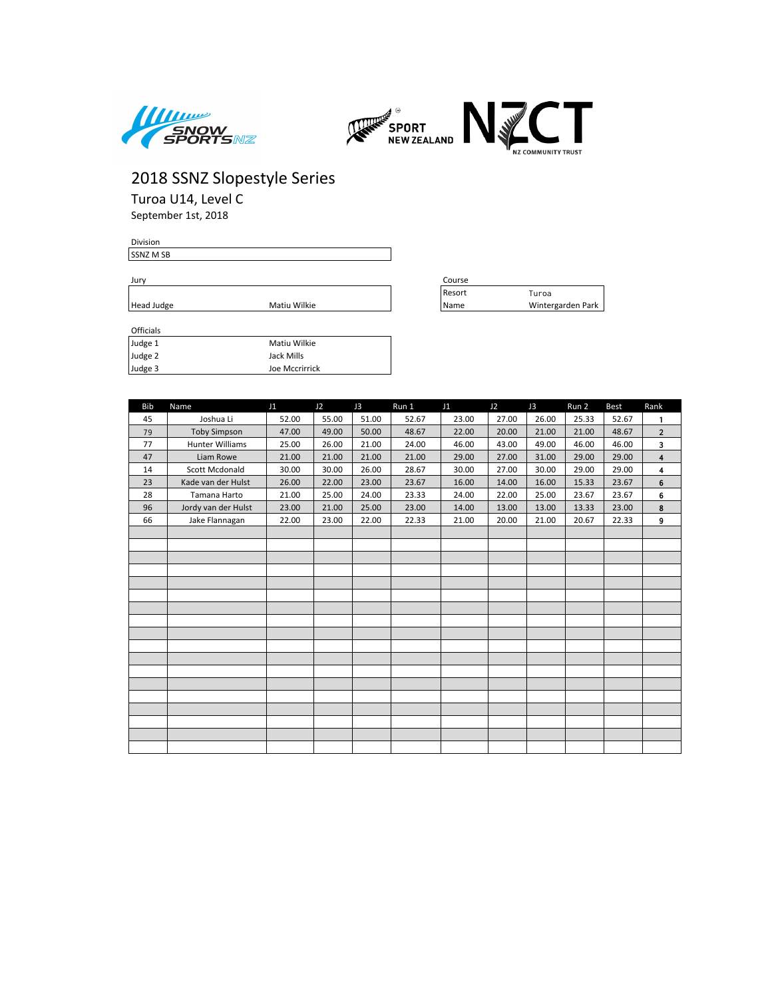



Turoa U14, Level C September 1st, 2018

Division SSNZ M SB

Jury Course

 $H$ ead Judge

| Matiu Wilkie |
|--------------|

| course |                   |
|--------|-------------------|
| Resort | Turoa             |
| Name   | Wintergarden Park |

| -------- |                |
|----------|----------------|
| Judge 1  | Matiu Wilkie   |
| Judge 2  | Jack Mills     |
| Judge 3  | Joe Mccrirrick |

| <b>Bib</b> | Name                   | J1    | J2    | J3    | Run 1 | J1    | J2    | J3    | Run 2 | <b>Best</b> | Rank           |
|------------|------------------------|-------|-------|-------|-------|-------|-------|-------|-------|-------------|----------------|
| 45         | Joshua Li              | 52.00 | 55.00 | 51.00 | 52.67 | 23.00 | 27.00 | 26.00 | 25.33 | 52.67       | $\mathbf{1}$   |
| 79         | <b>Toby Simpson</b>    | 47.00 | 49.00 | 50.00 | 48.67 | 22.00 | 20.00 | 21.00 | 21.00 | 48.67       | $\overline{2}$ |
| 77         | <b>Hunter Williams</b> | 25.00 | 26.00 | 21.00 | 24.00 | 46.00 | 43.00 | 49.00 | 46.00 | 46.00       | 3              |
| 47         | Liam Rowe              | 21.00 | 21.00 | 21.00 | 21.00 | 29.00 | 27.00 | 31.00 | 29.00 | 29.00       | 4              |
| 14         | Scott Mcdonald         | 30.00 | 30.00 | 26.00 | 28.67 | 30.00 | 27.00 | 30.00 | 29.00 | 29.00       | 4              |
| 23         | Kade van der Hulst     | 26.00 | 22.00 | 23.00 | 23.67 | 16.00 | 14.00 | 16.00 | 15.33 | 23.67       | 6              |
| 28         | Tamana Harto           | 21.00 | 25.00 | 24.00 | 23.33 | 24.00 | 22.00 | 25.00 | 23.67 | 23.67       | 6              |
| 96         | Jordy van der Hulst    | 23.00 | 21.00 | 25.00 | 23.00 | 14.00 | 13.00 | 13.00 | 13.33 | 23.00       | 8              |
| 66         | Jake Flannagan         | 22.00 | 23.00 | 22.00 | 22.33 | 21.00 | 20.00 | 21.00 | 20.67 | 22.33       | 9              |
|            |                        |       |       |       |       |       |       |       |       |             |                |
|            |                        |       |       |       |       |       |       |       |       |             |                |
|            |                        |       |       |       |       |       |       |       |       |             |                |
|            |                        |       |       |       |       |       |       |       |       |             |                |
|            |                        |       |       |       |       |       |       |       |       |             |                |
|            |                        |       |       |       |       |       |       |       |       |             |                |
|            |                        |       |       |       |       |       |       |       |       |             |                |
|            |                        |       |       |       |       |       |       |       |       |             |                |
|            |                        |       |       |       |       |       |       |       |       |             |                |
|            |                        |       |       |       |       |       |       |       |       |             |                |
|            |                        |       |       |       |       |       |       |       |       |             |                |
|            |                        |       |       |       |       |       |       |       |       |             |                |
|            |                        |       |       |       |       |       |       |       |       |             |                |
|            |                        |       |       |       |       |       |       |       |       |             |                |
|            |                        |       |       |       |       |       |       |       |       |             |                |
|            |                        |       |       |       |       |       |       |       |       |             |                |
|            |                        |       |       |       |       |       |       |       |       |             |                |
|            |                        |       |       |       |       |       |       |       |       |             |                |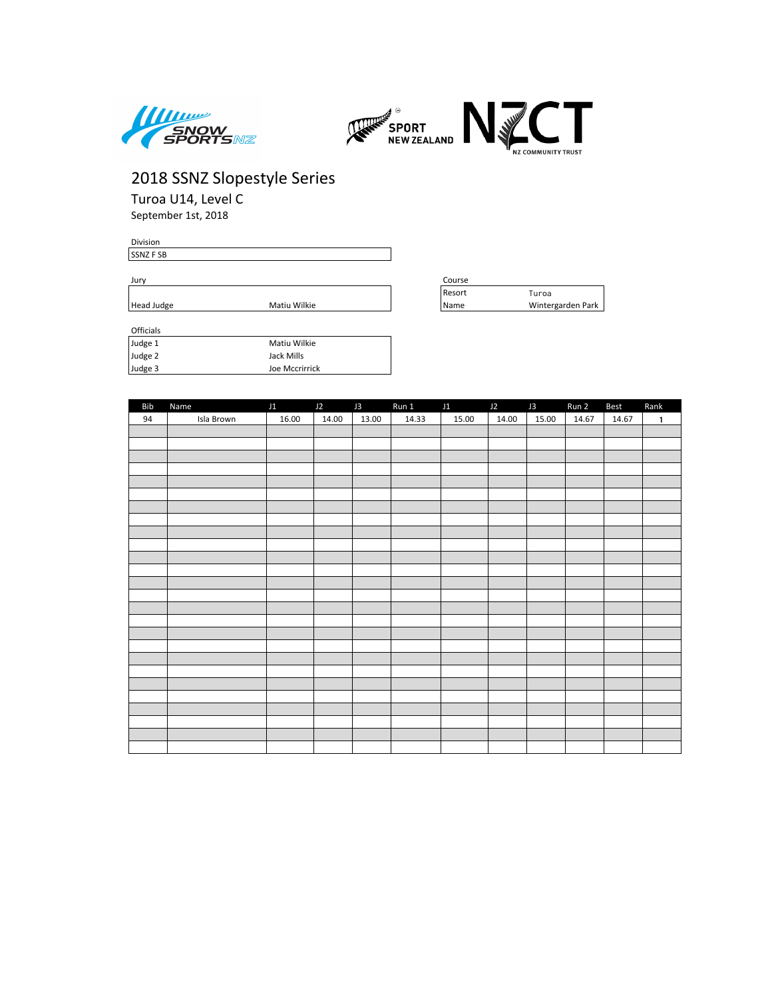



Turoa U14, Level C September 1st, 2018

Division SSNZ F SB

Judge 3 Joe Mccrirrick

Jury Course

Head Judge **Mational Mation** Matiu Wilkie

| Officials |              |
|-----------|--------------|
| Judge 1   | Matiu Wilkie |
| Judge 2   | Jack Mills   |

| Course |                   |
|--------|-------------------|
| Resort | Turoa             |
| Name   | Wintergarden Park |

| Bib | Name       | J1 J2 J3 |       |       | Run 1 11 |       | $J2$ $J3$ |       | Run 2 | <b>Best</b> | Rank         |
|-----|------------|----------|-------|-------|----------|-------|-----------|-------|-------|-------------|--------------|
| 94  | Isla Brown | 16.00    | 14.00 | 13.00 | 14.33    | 15.00 | 14.00     | 15.00 | 14.67 | 14.67       | $\mathbf{1}$ |
|     |            |          |       |       |          |       |           |       |       |             |              |
|     |            |          |       |       |          |       |           |       |       |             |              |
|     |            |          |       |       |          |       |           |       |       |             |              |
|     |            |          |       |       |          |       |           |       |       |             |              |
|     |            |          |       |       |          |       |           |       |       |             |              |
|     |            |          |       |       |          |       |           |       |       |             |              |
|     |            |          |       |       |          |       |           |       |       |             |              |
|     |            |          |       |       |          |       |           |       |       |             |              |
|     |            |          |       |       |          |       |           |       |       |             |              |
|     |            |          |       |       |          |       |           |       |       |             |              |
|     |            |          |       |       |          |       |           |       |       |             |              |
|     |            |          |       |       |          |       |           |       |       |             |              |
|     |            |          |       |       |          |       |           |       |       |             |              |
|     |            |          |       |       |          |       |           |       |       |             |              |
|     |            |          |       |       |          |       |           |       |       |             |              |
|     |            |          |       |       |          |       |           |       |       |             |              |
|     |            |          |       |       |          |       |           |       |       |             |              |
|     |            |          |       |       |          |       |           |       |       |             |              |
|     |            |          |       |       |          |       |           |       |       |             |              |
|     |            |          |       |       |          |       |           |       |       |             |              |
|     |            |          |       |       |          |       |           |       |       |             |              |
|     |            |          |       |       |          |       |           |       |       |             |              |
|     |            |          |       |       |          |       |           |       |       |             |              |
|     |            |          |       |       |          |       |           |       |       |             |              |
|     |            |          |       |       |          |       |           |       |       |             |              |
|     |            |          |       |       |          |       |           |       |       |             |              |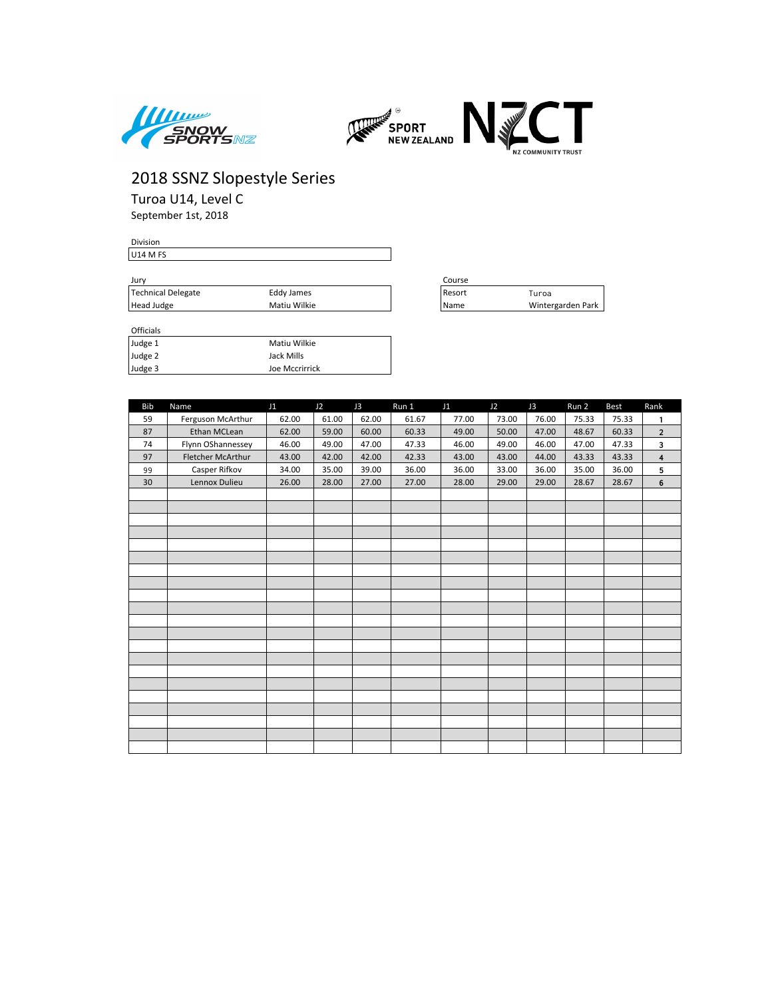



Turoa U14, Level C

September 1st, 2018

#### Division U14 M FS

| Jurv               |              | Course |                   |  |  |
|--------------------|--------------|--------|-------------------|--|--|
| Technical Delegate | Eddy James   | Resort | Turoa             |  |  |
| Head Judge         | Matiu Wilkie | Name   | Wintergarden Park |  |  |

| Course |                   |
|--------|-------------------|
| Resort | Turoa             |
| Name   | Wintergarden Park |

| <b>UILLUID</b> |                |
|----------------|----------------|
| Judge 1        | Matiu Wilkie   |
| Judge 2        | Jack Mills     |
| Judge 3        | Joe Mccrirrick |

| <b>Bib</b> | Name              | J1    | J2    | J3    | Run 1 | J1    | J2    | J3    | Run 2 | <b>Best</b> | Rank                    |
|------------|-------------------|-------|-------|-------|-------|-------|-------|-------|-------|-------------|-------------------------|
| 59         | Ferguson McArthur | 62.00 | 61.00 | 62.00 | 61.67 | 77.00 | 73.00 | 76.00 | 75.33 | 75.33       | 1                       |
| 87         | Ethan MCLean      | 62.00 | 59.00 | 60.00 | 60.33 | 49.00 | 50.00 | 47.00 | 48.67 | 60.33       | $\overline{2}$          |
| 74         | Flynn OShannessey | 46.00 | 49.00 | 47.00 | 47.33 | 46.00 | 49.00 | 46.00 | 47.00 | 47.33       | 3                       |
| 97         | Fletcher McArthur | 43.00 | 42.00 | 42.00 | 42.33 | 43.00 | 43.00 | 44.00 | 43.33 | 43.33       | $\overline{\mathbf{4}}$ |
| 99         | Casper Rifkov     | 34.00 | 35.00 | 39.00 | 36.00 | 36.00 | 33.00 | 36.00 | 35.00 | 36.00       | 5                       |
| 30         | Lennox Dulieu     | 26.00 | 28.00 | 27.00 | 27.00 | 28.00 | 29.00 | 29.00 | 28.67 | 28.67       | $\bf 6$                 |
|            |                   |       |       |       |       |       |       |       |       |             |                         |
|            |                   |       |       |       |       |       |       |       |       |             |                         |
|            |                   |       |       |       |       |       |       |       |       |             |                         |
|            |                   |       |       |       |       |       |       |       |       |             |                         |
|            |                   |       |       |       |       |       |       |       |       |             |                         |
|            |                   |       |       |       |       |       |       |       |       |             |                         |
|            |                   |       |       |       |       |       |       |       |       |             |                         |
|            |                   |       |       |       |       |       |       |       |       |             |                         |
|            |                   |       |       |       |       |       |       |       |       |             |                         |
|            |                   |       |       |       |       |       |       |       |       |             |                         |
|            |                   |       |       |       |       |       |       |       |       |             |                         |
|            |                   |       |       |       |       |       |       |       |       |             |                         |
|            |                   |       |       |       |       |       |       |       |       |             |                         |
|            |                   |       |       |       |       |       |       |       |       |             |                         |
|            |                   |       |       |       |       |       |       |       |       |             |                         |
|            |                   |       |       |       |       |       |       |       |       |             |                         |
|            |                   |       |       |       |       |       |       |       |       |             |                         |
|            |                   |       |       |       |       |       |       |       |       |             |                         |
|            |                   |       |       |       |       |       |       |       |       |             |                         |
|            |                   |       |       |       |       |       |       |       |       |             |                         |
|            |                   |       |       |       |       |       |       |       |       |             |                         |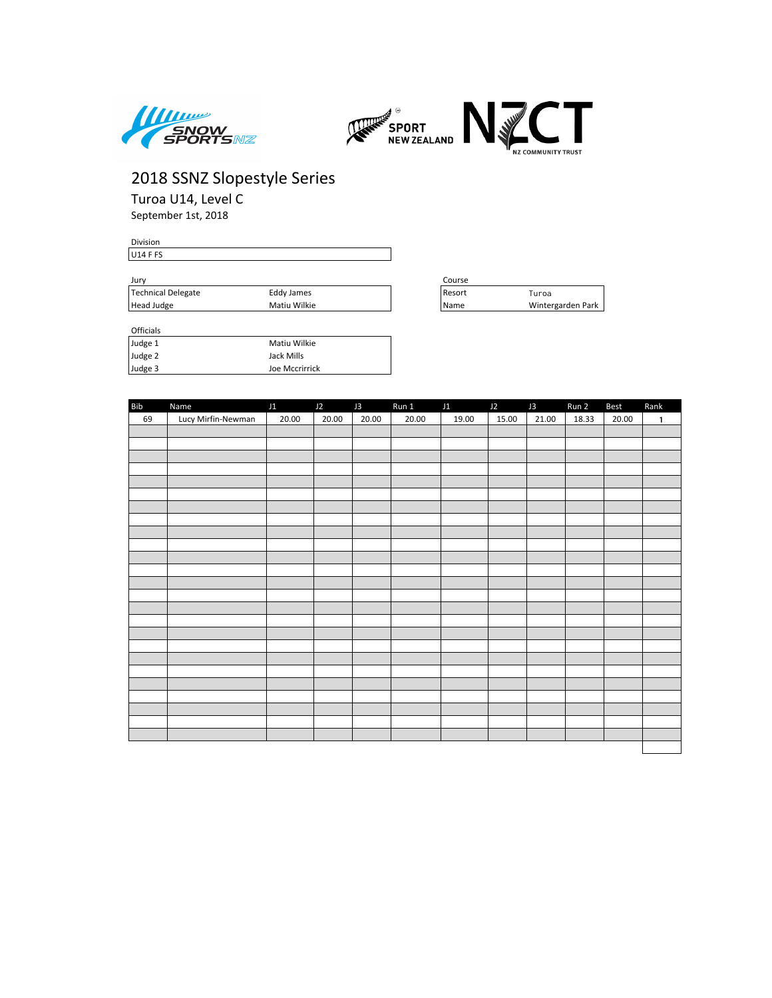



Turoa U14, Level C September 1st, 2018

| Division        |  |  |  |  |
|-----------------|--|--|--|--|
| F <sub>FS</sub> |  |  |  |  |
|                 |  |  |  |  |
|                 |  |  |  |  |

| Jurv               |              | Course |                   |  |  |
|--------------------|--------------|--------|-------------------|--|--|
| Technical Delegate | Eddy James   | Resort | Turoa             |  |  |
| Head Judge         | Matiu Wilkie | Name   | Wintergarden Park |  |  |

| -------- |                |
|----------|----------------|
| Judge 1  | Matiu Wilkie   |
| Judge 2  | Jack Mills     |
| Judge 3  | Joe Mccrirrick |

| Course |                   |
|--------|-------------------|
| Resort | Turoa             |
| Name   | Wintergarden Park |

| <b>Bib</b> | Name               | J1    | $J2$ $J3$ |       | Run 1 | J1    | J2    | J3    | Run 2 | <b>Best</b> | Rank         |
|------------|--------------------|-------|-----------|-------|-------|-------|-------|-------|-------|-------------|--------------|
| 69         | Lucy Mirfin-Newman | 20.00 | 20.00     | 20.00 | 20.00 | 19.00 | 15.00 | 21.00 | 18.33 | 20.00       | $\mathbf{1}$ |
|            |                    |       |           |       |       |       |       |       |       |             |              |
|            |                    |       |           |       |       |       |       |       |       |             |              |
|            |                    |       |           |       |       |       |       |       |       |             |              |
|            |                    |       |           |       |       |       |       |       |       |             |              |
|            |                    |       |           |       |       |       |       |       |       |             |              |
|            |                    |       |           |       |       |       |       |       |       |             |              |
|            |                    |       |           |       |       |       |       |       |       |             |              |
|            |                    |       |           |       |       |       |       |       |       |             |              |
|            |                    |       |           |       |       |       |       |       |       |             |              |
|            |                    |       |           |       |       |       |       |       |       |             |              |
|            |                    |       |           |       |       |       |       |       |       |             |              |
|            |                    |       |           |       |       |       |       |       |       |             |              |
|            |                    |       |           |       |       |       |       |       |       |             |              |
|            |                    |       |           |       |       |       |       |       |       |             |              |
|            |                    |       |           |       |       |       |       |       |       |             |              |
|            |                    |       |           |       |       |       |       |       |       |             |              |
|            |                    |       |           |       |       |       |       |       |       |             |              |
|            |                    |       |           |       |       |       |       |       |       |             |              |
|            |                    |       |           |       |       |       |       |       |       |             |              |
|            |                    |       |           |       |       |       |       |       |       |             |              |
|            |                    |       |           |       |       |       |       |       |       |             |              |
|            |                    |       |           |       |       |       |       |       |       |             |              |
|            |                    |       |           |       |       |       |       |       |       |             |              |
|            |                    |       |           |       |       |       |       |       |       |             |              |
|            |                    |       |           |       |       |       |       |       |       |             |              |
|            |                    |       |           |       |       |       |       |       |       |             |              |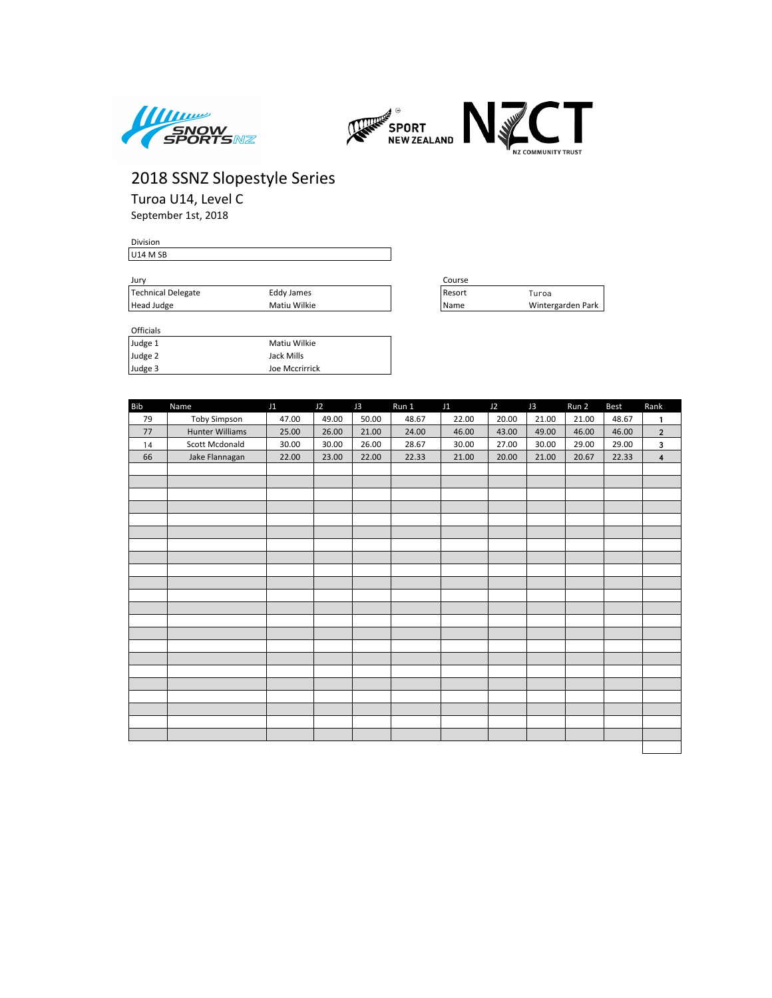



Turoa U14, Level C September 1st, 2018

| <b>Division</b> |  |  |
|-----------------|--|--|
| U14 M SB        |  |  |
|                 |  |  |

| Jurv                             |              |  | Course |                   |
|----------------------------------|--------------|--|--------|-------------------|
| Technical Delegate<br>Eddy James |              |  | Resort | Turoa             |
| Head Judge                       | Matiu Wilkie |  | 'Name  | Wintergarden Park |

| Course |                   |
|--------|-------------------|
| Resort | Turoa             |
| Name   | Wintergarden Park |

| <b>UILLIGIS</b> |                |
|-----------------|----------------|
| Judge 1         | Matiu Wilkie   |
| Judge 2         | Jack Mills     |
| Judge 3         | Joe Mccrirrick |

| <b>Bib</b> | Name                   | J1    | J2    | J3    | Run 1 | J1    | J2    | J3    | Run 2 | Best  | Rank                    |
|------------|------------------------|-------|-------|-------|-------|-------|-------|-------|-------|-------|-------------------------|
| 79         | <b>Toby Simpson</b>    | 47.00 | 49.00 | 50.00 | 48.67 | 22.00 | 20.00 | 21.00 | 21.00 | 48.67 | $\mathbf{1}$            |
| 77         | <b>Hunter Williams</b> | 25.00 | 26.00 | 21.00 | 24.00 | 46.00 | 43.00 | 49.00 | 46.00 | 46.00 | $\overline{2}$          |
| 14         | Scott Mcdonald         | 30.00 | 30.00 | 26.00 | 28.67 | 30.00 | 27.00 | 30.00 | 29.00 | 29.00 | 3                       |
| 66         | Jake Flannagan         | 22.00 | 23.00 | 22.00 | 22.33 | 21.00 | 20.00 | 21.00 | 20.67 | 22.33 | $\overline{\mathbf{4}}$ |
|            |                        |       |       |       |       |       |       |       |       |       |                         |
|            |                        |       |       |       |       |       |       |       |       |       |                         |
|            |                        |       |       |       |       |       |       |       |       |       |                         |
|            |                        |       |       |       |       |       |       |       |       |       |                         |
|            |                        |       |       |       |       |       |       |       |       |       |                         |
|            |                        |       |       |       |       |       |       |       |       |       |                         |
|            |                        |       |       |       |       |       |       |       |       |       |                         |
|            |                        |       |       |       |       |       |       |       |       |       |                         |
|            |                        |       |       |       |       |       |       |       |       |       |                         |
|            |                        |       |       |       |       |       |       |       |       |       |                         |
|            |                        |       |       |       |       |       |       |       |       |       |                         |
|            |                        |       |       |       |       |       |       |       |       |       |                         |
|            |                        |       |       |       |       |       |       |       |       |       |                         |
|            |                        |       |       |       |       |       |       |       |       |       |                         |
|            |                        |       |       |       |       |       |       |       |       |       |                         |
|            |                        |       |       |       |       |       |       |       |       |       |                         |
|            |                        |       |       |       |       |       |       |       |       |       |                         |
|            |                        |       |       |       |       |       |       |       |       |       |                         |
|            |                        |       |       |       |       |       |       |       |       |       |                         |
|            |                        |       |       |       |       |       |       |       |       |       |                         |
|            |                        |       |       |       |       |       |       |       |       |       |                         |
|            |                        |       |       |       |       |       |       |       |       |       |                         |
|            |                        |       |       |       |       |       |       |       |       |       |                         |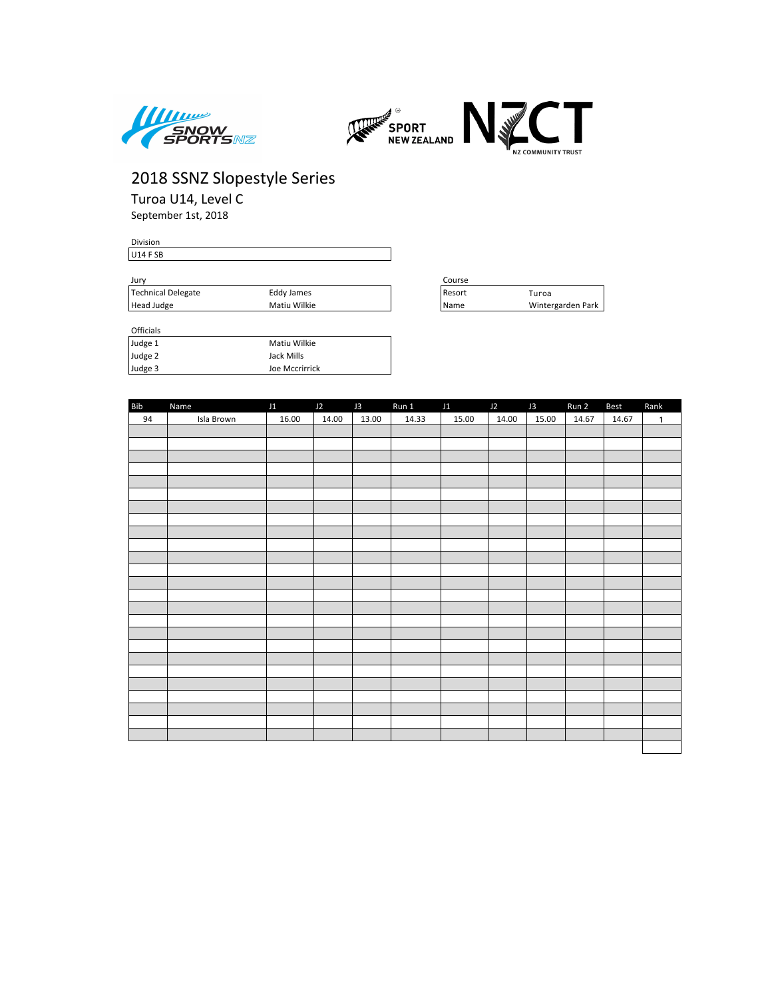



Turoa U14, Level C September 1st, 2018

| Division |  |  |  |
|----------|--|--|--|
| U14 F SB |  |  |  |
|          |  |  |  |
|          |  |  |  |

| Jurv                             |              | Course |                   |
|----------------------------------|--------------|--------|-------------------|
| Technical Delegate<br>Eddy James |              | Resort | Turoa             |
| Head Judge                       | Matiu Wilkie | Name   | Wintergarden Park |

| -------- |                |
|----------|----------------|
| Judge 1  | Matiu Wilkie   |
| Judge 2  | Jack Mills     |
| Judge 3  | Joe Mccrirrick |

| Course |                   |
|--------|-------------------|
| Resort | Turoa             |
| Name   | Wintergarden Park |

| Bib | Name       | J1    | $J2$ $J3$ |       | Run 1 J1 J2 |       |       | J3    | Run 2 | Best  | Rank         |
|-----|------------|-------|-----------|-------|-------------|-------|-------|-------|-------|-------|--------------|
| 94  | Isla Brown | 16.00 | 14.00     | 13.00 | 14.33       | 15.00 | 14.00 | 15.00 | 14.67 | 14.67 | $\mathbf{1}$ |
|     |            |       |           |       |             |       |       |       |       |       |              |
|     |            |       |           |       |             |       |       |       |       |       |              |
|     |            |       |           |       |             |       |       |       |       |       |              |
|     |            |       |           |       |             |       |       |       |       |       |              |
|     |            |       |           |       |             |       |       |       |       |       |              |
|     |            |       |           |       |             |       |       |       |       |       |              |
|     |            |       |           |       |             |       |       |       |       |       |              |
|     |            |       |           |       |             |       |       |       |       |       |              |
|     |            |       |           |       |             |       |       |       |       |       |              |
|     |            |       |           |       |             |       |       |       |       |       |              |
|     |            |       |           |       |             |       |       |       |       |       |              |
|     |            |       |           |       |             |       |       |       |       |       |              |
|     |            |       |           |       |             |       |       |       |       |       |              |
|     |            |       |           |       |             |       |       |       |       |       |              |
|     |            |       |           |       |             |       |       |       |       |       |              |
|     |            |       |           |       |             |       |       |       |       |       |              |
|     |            |       |           |       |             |       |       |       |       |       |              |
|     |            |       |           |       |             |       |       |       |       |       |              |
|     |            |       |           |       |             |       |       |       |       |       |              |
|     |            |       |           |       |             |       |       |       |       |       |              |
|     |            |       |           |       |             |       |       |       |       |       |              |
|     |            |       |           |       |             |       |       |       |       |       |              |
|     |            |       |           |       |             |       |       |       |       |       |              |
|     |            |       |           |       |             |       |       |       |       |       |              |
|     |            |       |           |       |             |       |       |       |       |       |              |
|     |            |       |           |       |             |       |       |       |       |       |              |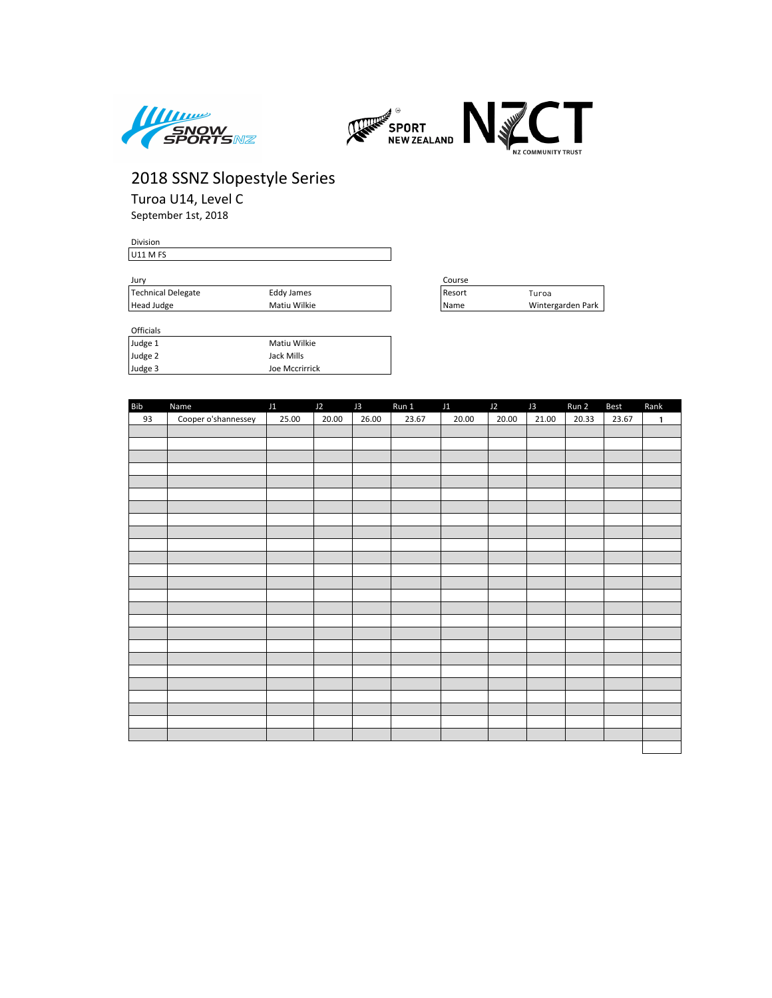



Turoa U14, Level C September 1st, 2018

| Division |  |  |  |
|----------|--|--|--|
| U11 M FS |  |  |  |
|          |  |  |  |
|          |  |  |  |

| Jury                             |              | Course |                   |
|----------------------------------|--------------|--------|-------------------|
| Technical Delegate<br>Eddy James |              | Resort | Turoa             |
| Head Judge                       | Matiu Wilkie | Name   | Wintergarden Park |

| -------- |                |
|----------|----------------|
| Judge 1  | Matiu Wilkie   |
| Judge 2  | Jack Mills     |
| Judge 3  | Joe Mccrirrick |

| Course |                   |
|--------|-------------------|
| Resort | Turoa             |
| Name   | Wintergarden Park |

| Bib | Name                | J1    | J2    | J3    | Run 1 | J1    | J2    | J3    | Run 2 | <b>Best</b> | Rank |
|-----|---------------------|-------|-------|-------|-------|-------|-------|-------|-------|-------------|------|
| 93  | Cooper o'shannessey | 25.00 | 20.00 | 26.00 | 23.67 | 20.00 | 20.00 | 21.00 | 20.33 | 23.67       | 1    |
|     |                     |       |       |       |       |       |       |       |       |             |      |
|     |                     |       |       |       |       |       |       |       |       |             |      |
|     |                     |       |       |       |       |       |       |       |       |             |      |
|     |                     |       |       |       |       |       |       |       |       |             |      |
|     |                     |       |       |       |       |       |       |       |       |             |      |
|     |                     |       |       |       |       |       |       |       |       |             |      |
|     |                     |       |       |       |       |       |       |       |       |             |      |
|     |                     |       |       |       |       |       |       |       |       |             |      |
|     |                     |       |       |       |       |       |       |       |       |             |      |
|     |                     |       |       |       |       |       |       |       |       |             |      |
|     |                     |       |       |       |       |       |       |       |       |             |      |
|     |                     |       |       |       |       |       |       |       |       |             |      |
|     |                     |       |       |       |       |       |       |       |       |             |      |
|     |                     |       |       |       |       |       |       |       |       |             |      |
|     |                     |       |       |       |       |       |       |       |       |             |      |
|     |                     |       |       |       |       |       |       |       |       |             |      |
|     |                     |       |       |       |       |       |       |       |       |             |      |
|     |                     |       |       |       |       |       |       |       |       |             |      |
|     |                     |       |       |       |       |       |       |       |       |             |      |
|     |                     |       |       |       |       |       |       |       |       |             |      |
|     |                     |       |       |       |       |       |       |       |       |             |      |
|     |                     |       |       |       |       |       |       |       |       |             |      |
|     |                     |       |       |       |       |       |       |       |       |             |      |
|     |                     |       |       |       |       |       |       |       |       |             |      |
|     |                     |       |       |       |       |       |       |       |       |             |      |
|     |                     |       |       |       |       |       |       |       |       |             |      |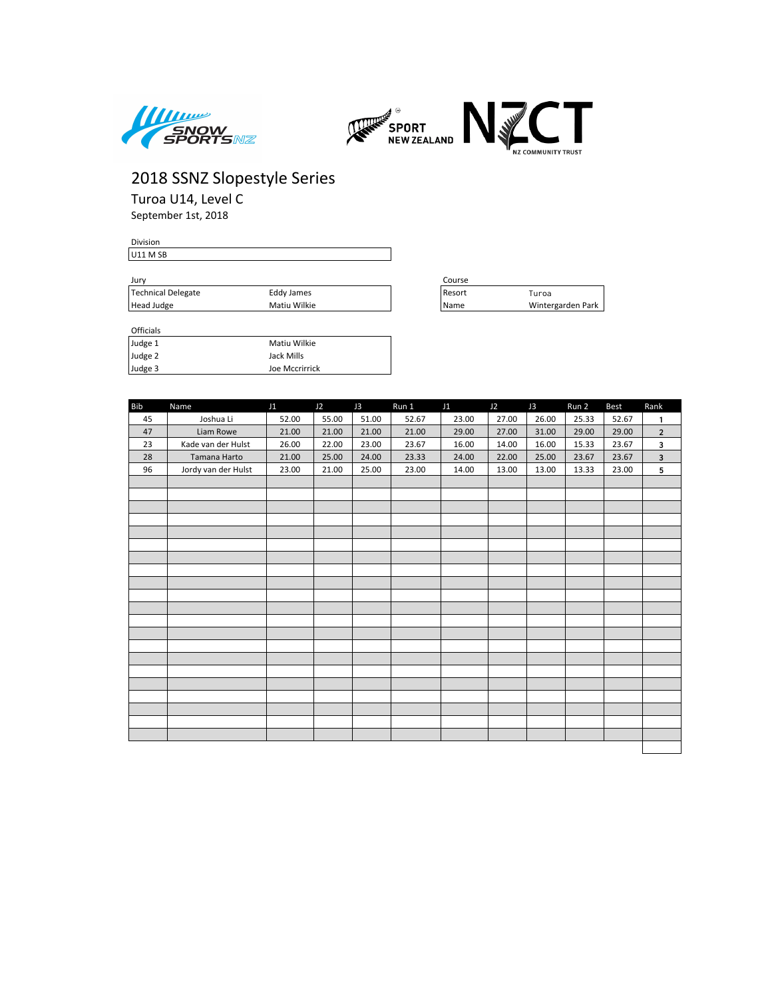



Turoa U14, Level C

September 1st, 2018

#### Division U11 M SB

| Jurv |                    |              | Course |                   |  |  |
|------|--------------------|--------------|--------|-------------------|--|--|
|      | Technical Delegate | Eddy James   | Resort | Turoa             |  |  |
|      | Head Judge         | Matiu Wilkie | Name   | Wintergarden Park |  |  |

| Judge 1 | Matiu Wilkie   |  |
|---------|----------------|--|
| Judge 2 | Jack Mills     |  |
| Judge 3 | Joe Mccrirrick |  |

| Course |                   |
|--------|-------------------|
| Resort | Turoa             |
| Name   | Wintergarden Park |

| <b>Bib</b> | Name                | J1    | J2    | J3    | Run 1 | J1    | J2    | J3    | Run 2 | Best  | Rank                    |
|------------|---------------------|-------|-------|-------|-------|-------|-------|-------|-------|-------|-------------------------|
| 45         | Joshua Li           | 52.00 | 55.00 | 51.00 | 52.67 | 23.00 | 27.00 | 26.00 | 25.33 | 52.67 | 1                       |
| 47         | Liam Rowe           | 21.00 | 21.00 | 21.00 | 21.00 | 29.00 | 27.00 | 31.00 | 29.00 | 29.00 | $\overline{2}$          |
| 23         | Kade van der Hulst  | 26.00 | 22.00 | 23.00 | 23.67 | 16.00 | 14.00 | 16.00 | 15.33 | 23.67 | 3                       |
| 28         | Tamana Harto        | 21.00 | 25.00 | 24.00 | 23.33 | 24.00 | 22.00 | 25.00 | 23.67 | 23.67 | $\overline{\mathbf{3}}$ |
| 96         | Jordy van der Hulst | 23.00 | 21.00 | 25.00 | 23.00 | 14.00 | 13.00 | 13.00 | 13.33 | 23.00 | 5                       |
|            |                     |       |       |       |       |       |       |       |       |       |                         |
|            |                     |       |       |       |       |       |       |       |       |       |                         |
|            |                     |       |       |       |       |       |       |       |       |       |                         |
|            |                     |       |       |       |       |       |       |       |       |       |                         |
|            |                     |       |       |       |       |       |       |       |       |       |                         |
|            |                     |       |       |       |       |       |       |       |       |       |                         |
|            |                     |       |       |       |       |       |       |       |       |       |                         |
|            |                     |       |       |       |       |       |       |       |       |       |                         |
|            |                     |       |       |       |       |       |       |       |       |       |                         |
|            |                     |       |       |       |       |       |       |       |       |       |                         |
|            |                     |       |       |       |       |       |       |       |       |       |                         |
|            |                     |       |       |       |       |       |       |       |       |       |                         |
|            |                     |       |       |       |       |       |       |       |       |       |                         |
|            |                     |       |       |       |       |       |       |       |       |       |                         |
|            |                     |       |       |       |       |       |       |       |       |       |                         |
|            |                     |       |       |       |       |       |       |       |       |       |                         |
|            |                     |       |       |       |       |       |       |       |       |       |                         |
|            |                     |       |       |       |       |       |       |       |       |       |                         |
|            |                     |       |       |       |       |       |       |       |       |       |                         |
|            |                     |       |       |       |       |       |       |       |       |       |                         |
|            |                     |       |       |       |       |       |       |       |       |       |                         |
|            |                     |       |       |       |       |       |       |       |       |       |                         |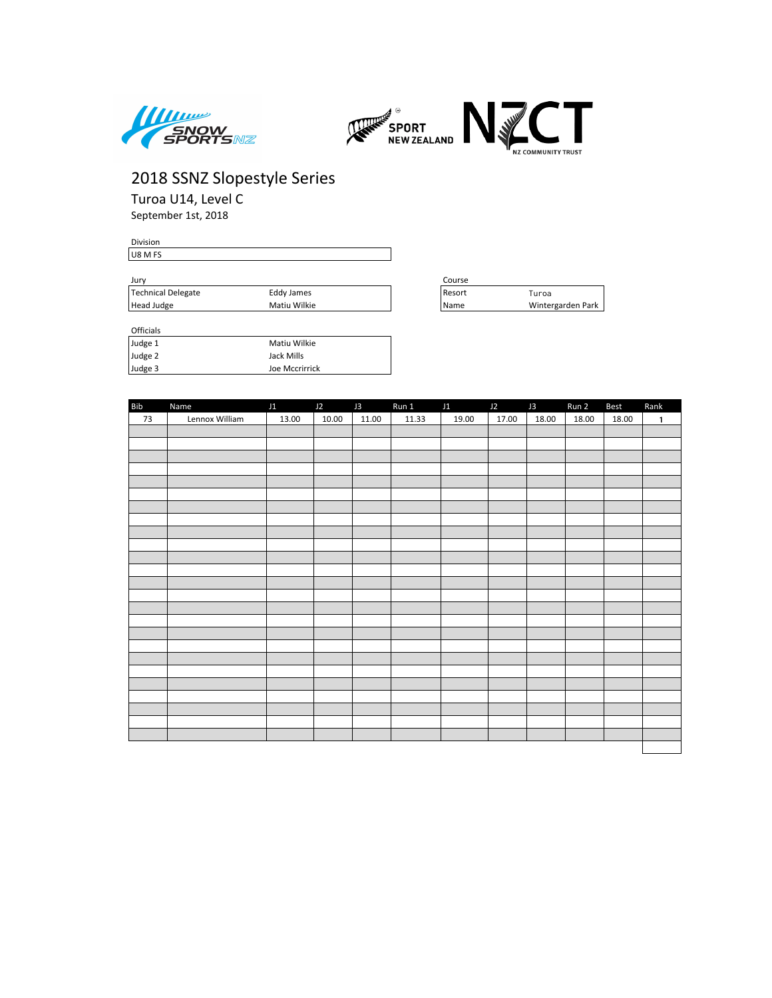



Turoa U14, Level C September 1st, 2018

Division U8 M FS

| Jurv               |              | Course |                   |
|--------------------|--------------|--------|-------------------|
| Technical Delegate | Eddy James   | Resort | uroa              |
| Head Judge         | Matiu Wilkie | Name   | Wintergarden Park |

| Lourse |                   |
|--------|-------------------|
| Resort | Turoa             |
| Name   | Wintergarden Park |

| <b>UILLUD</b> |                |
|---------------|----------------|
| Judge 1       | Matiu Wilkie   |
| Judge 2       | Jack Mills     |
| Judge 3       | Joe Mccrirrick |

| <b>Bib</b> | Name           | J1    | J2    | J3    | Run 1 | J1    | J2    | J3    | Run 2 | Best  | Rank         |
|------------|----------------|-------|-------|-------|-------|-------|-------|-------|-------|-------|--------------|
| 73         | Lennox William | 13.00 | 10.00 | 11.00 | 11.33 | 19.00 | 17.00 | 18.00 | 18.00 | 18.00 | $\mathbf{1}$ |
|            |                |       |       |       |       |       |       |       |       |       |              |
|            |                |       |       |       |       |       |       |       |       |       |              |
|            |                |       |       |       |       |       |       |       |       |       |              |
|            |                |       |       |       |       |       |       |       |       |       |              |
|            |                |       |       |       |       |       |       |       |       |       |              |
|            |                |       |       |       |       |       |       |       |       |       |              |
|            |                |       |       |       |       |       |       |       |       |       |              |
|            |                |       |       |       |       |       |       |       |       |       |              |
|            |                |       |       |       |       |       |       |       |       |       |              |
|            |                |       |       |       |       |       |       |       |       |       |              |
|            |                |       |       |       |       |       |       |       |       |       |              |
|            |                |       |       |       |       |       |       |       |       |       |              |
|            |                |       |       |       |       |       |       |       |       |       |              |
|            |                |       |       |       |       |       |       |       |       |       |              |
|            |                |       |       |       |       |       |       |       |       |       |              |
|            |                |       |       |       |       |       |       |       |       |       |              |
|            |                |       |       |       |       |       |       |       |       |       |              |
|            |                |       |       |       |       |       |       |       |       |       |              |
|            |                |       |       |       |       |       |       |       |       |       |              |
|            |                |       |       |       |       |       |       |       |       |       |              |
|            |                |       |       |       |       |       |       |       |       |       |              |
|            |                |       |       |       |       |       |       |       |       |       |              |
|            |                |       |       |       |       |       |       |       |       |       |              |
|            |                |       |       |       |       |       |       |       |       |       |              |
|            |                |       |       |       |       |       |       |       |       |       |              |
|            |                |       |       |       |       |       |       |       |       |       |              |